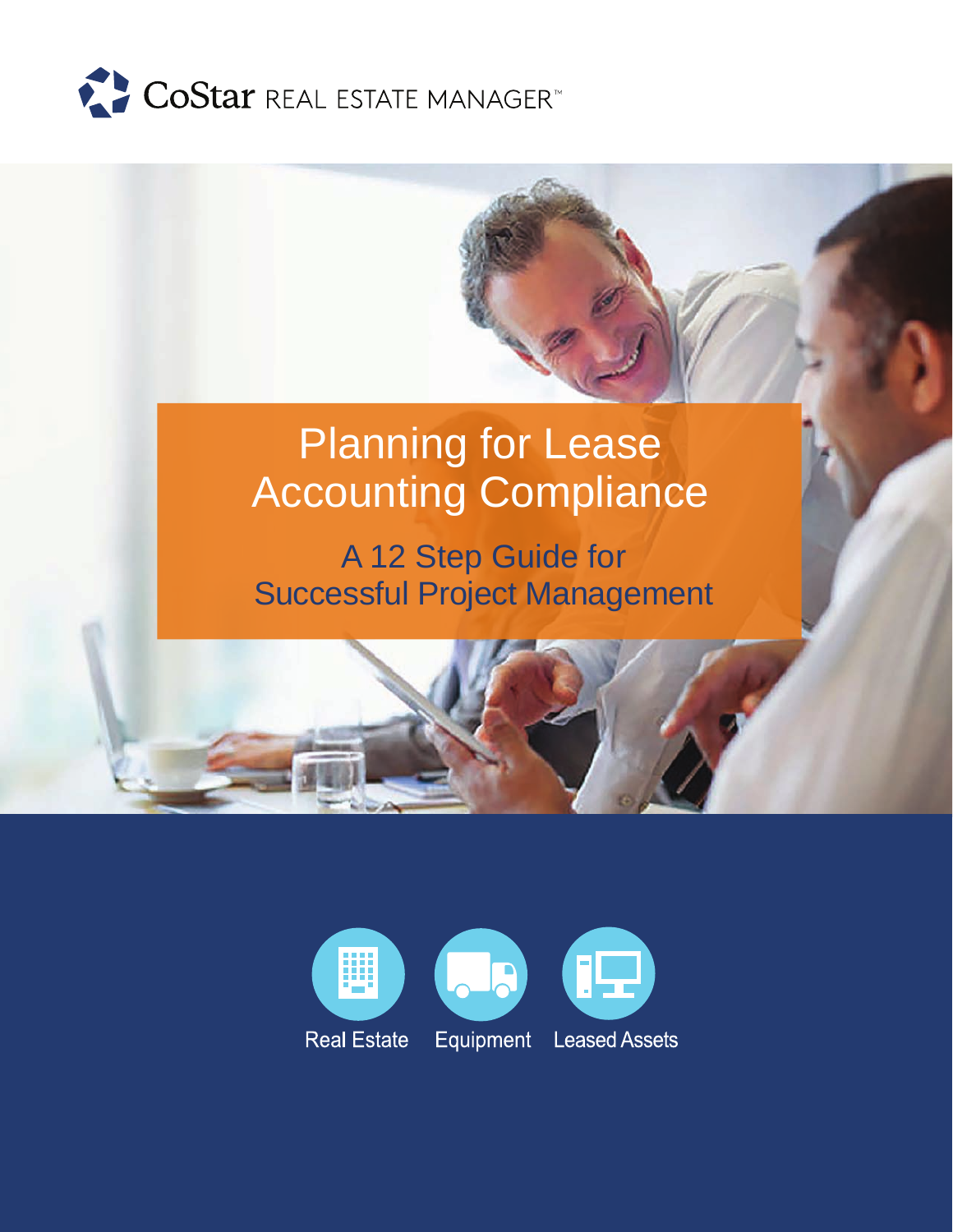

# Planning for Lease Accounting Compliance

A 12 Step Guide for Successful Project Management

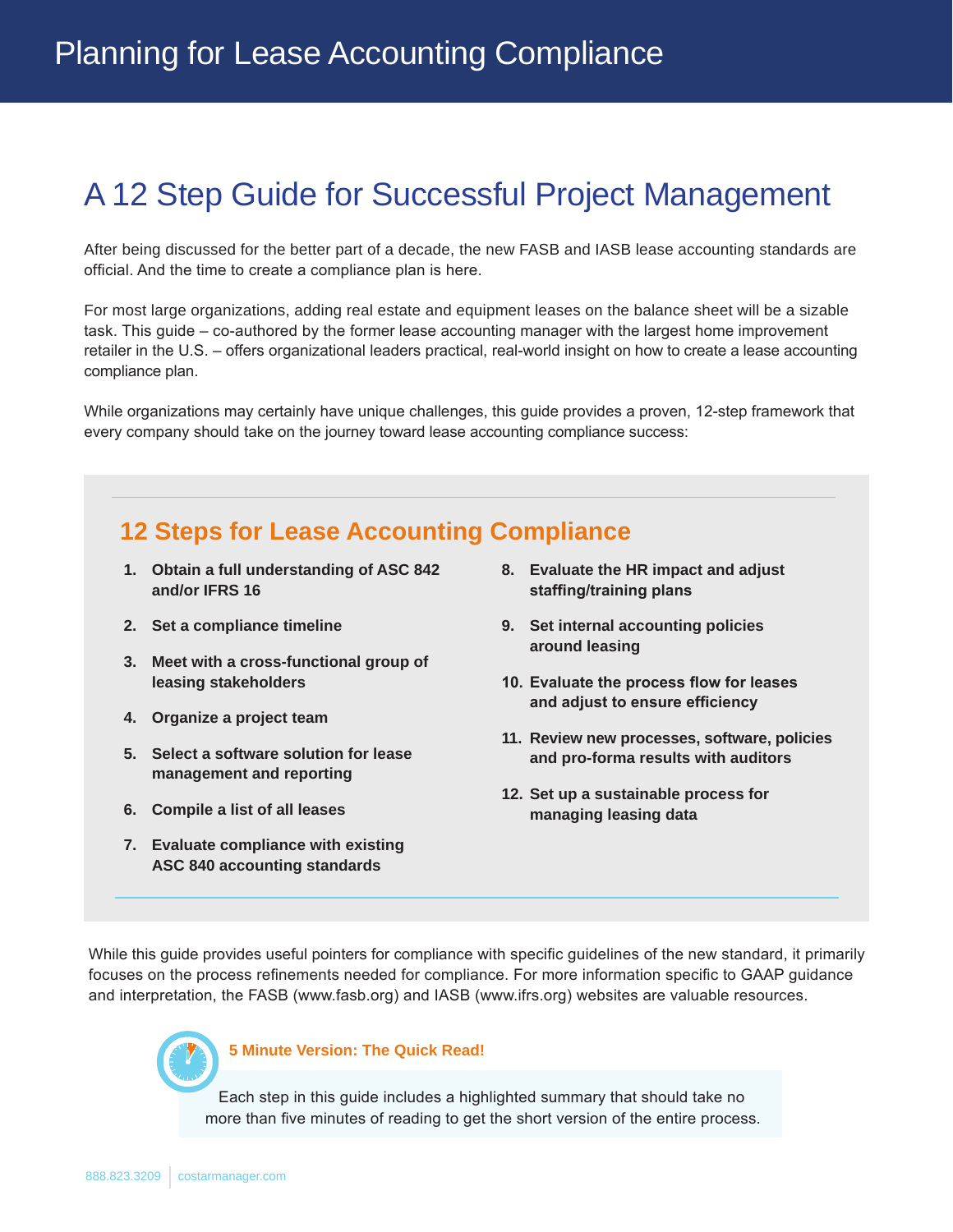## A 12 Step Guide for Successful Project Management

After being discussed for the better part of a decade, the new FASB and IASB lease accounting standards are official. And the time to create a compliance plan is here.

For most large organizations, adding real estate and equipment leases on the balance sheet will be a sizable task. This guide – co-authored by the former lease accounting manager with the largest home improvement retailer in the U.S. – offers organizational leaders practical, real-world insight on how to create a lease accounting compliance plan.

While organizations may certainly have unique challenges, this guide provides a proven, 12-step framework that every company should take on the journey toward lease accounting compliance success:

### **12 Steps for Lease Accounting Compliance**

- **1. Obtain a full understanding of ASC 842 and/or IFRS 16**
- **2. Set a compliance timeline**
- **3. Meet with a cross-functional group of leasing stakeholders**
- **4. Organize a project team**
- **5. Select a software solution for lease management and reporting**
- **6. Compile a list of all leases**
- **7. Evaluate compliance with existing ASC 840 accounting standards**
- **8. Evaluate the HR impact and adjust staffing/training plans**
- **9. Set internal accounting policies around leasing**
- **10. Evaluate the process flow for leases and adjust to ensure efficiency**
- **11. Review new processes, software, policies and pro-forma results with auditors**
- **12. Set up a sustainable process for managing leasing data**

While this guide provides useful pointers for compliance with specific guidelines of the new standard, it primarily focuses on the process refinements needed for compliance. For more information specific to GAAP guidance and interpretation, the FASB (www.fasb.org) and IASB (www.ifrs.org) websites are valuable resources.



**5 Minute Version: The Quick Read!** 

Each step in this guide includes a highlighted summary that should take no more than five minutes of reading to get the short version of the entire process.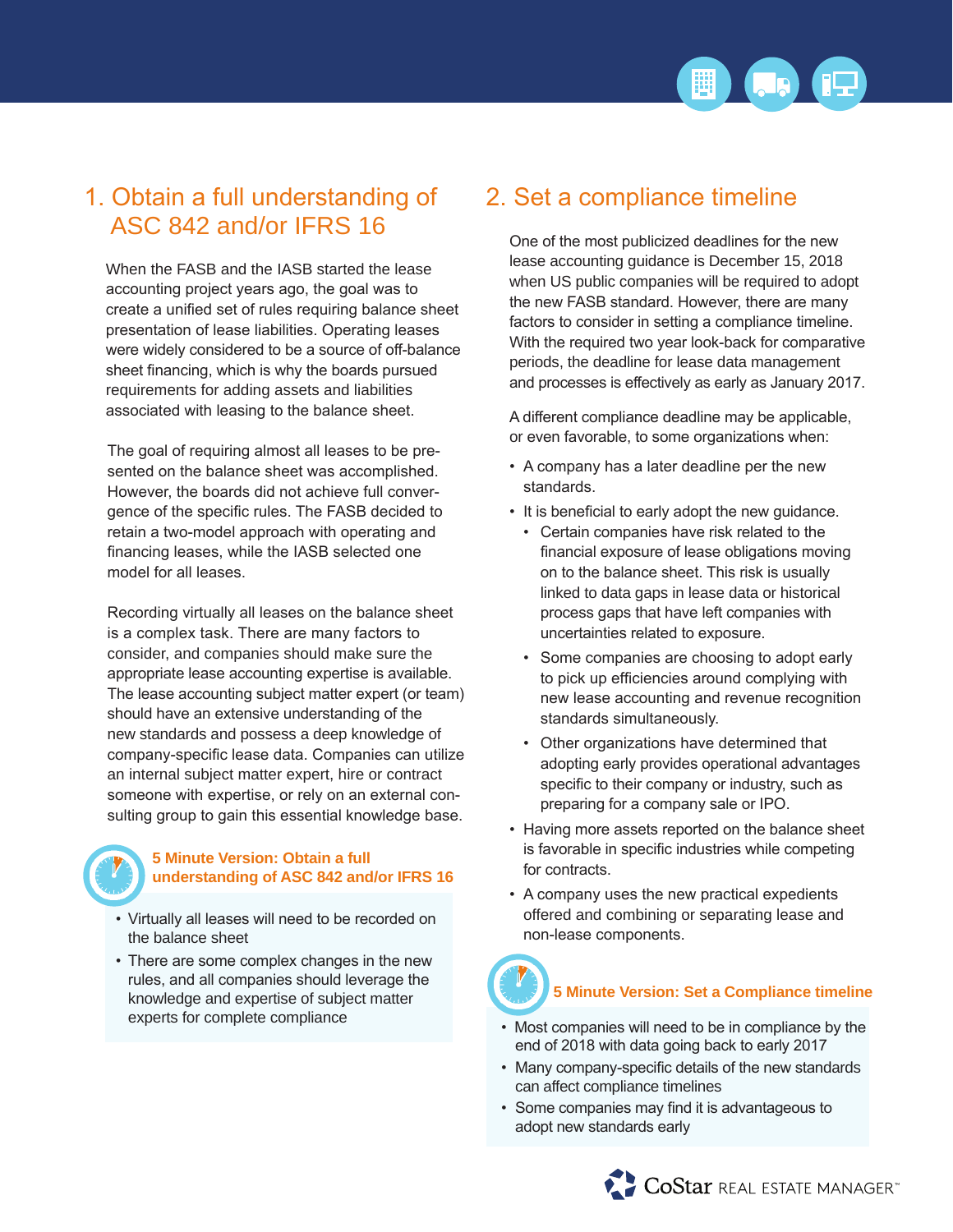

### 1. Obtain a full understanding of ASC 842 and/or IFRS 16

When the FASB and the IASB started the lease accounting project years ago, the goal was to create a unified set of rules requiring balance sheet presentation of lease liabilities. Operating leases were widely considered to be a source of off-balance sheet financing, which is why the boards pursued requirements for adding assets and liabilities associated with leasing to the balance sheet.

The goal of requiring almost all leases to be presented on the balance sheet was accomplished. However, the boards did not achieve full convergence of the specific rules. The FASB decided to retain a two-model approach with operating and financing leases, while the IASB selected one model for all leases.

Recording virtually all leases on the balance sheet is a complex task. There are many factors to consider, and companies should make sure the appropriate lease accounting expertise is available. The lease accounting subject matter expert (or team) should have an extensive understanding of the new standards and possess a deep knowledge of company-specific lease data. Companies can utilize an internal subject matter expert, hire or contract someone with expertise, or rely on an external consulting group to gain this essential knowledge base.

#### **5 Minute Version: Obtain a full understanding of ASC 842 and/or IFRS 16**

- Virtually all leases will need to be recorded on the balance sheet
- There are some complex changes in the new rules, and all companies should leverage the knowledge and expertise of subject matter experts for complete compliance

### 2. Set a compliance timeline

One of the most publicized deadlines for the new lease accounting guidance is December 15, 2018 when US public companies will be required to adopt the new FASB standard. However, there are many factors to consider in setting a compliance timeline. With the required two year look-back for comparative periods, the deadline for lease data management and processes is effectively as early as January 2017.

A different compliance deadline may be applicable, or even favorable, to some organizations when:

- A company has a later deadline per the new standards.
- It is beneficial to early adopt the new guidance.
	- Certain companies have risk related to the financial exposure of lease obligations moving on to the balance sheet. This risk is usually linked to data gaps in lease data or historical process gaps that have left companies with uncertainties related to exposure.
	- Some companies are choosing to adopt early to pick up efficiencies around complying with new lease accounting and revenue recognition standards simultaneously.
	- Other organizations have determined that adopting early provides operational advantages specific to their company or industry, such as preparing for a company sale or IPO.
- Having more assets reported on the balance sheet is favorable in specific industries while competing for contracts.
- A company uses the new practical expedients offered and combining or separating lease and non-lease components.

# **5 Minute Version: Set a Compliance timeline**

- Most companies will need to be in compliance by the end of 2018 with data going back to early 2017
- Many company-specific details of the new standards can affect compliance timelines
- Some companies may find it is advantageous to adopt new standards early

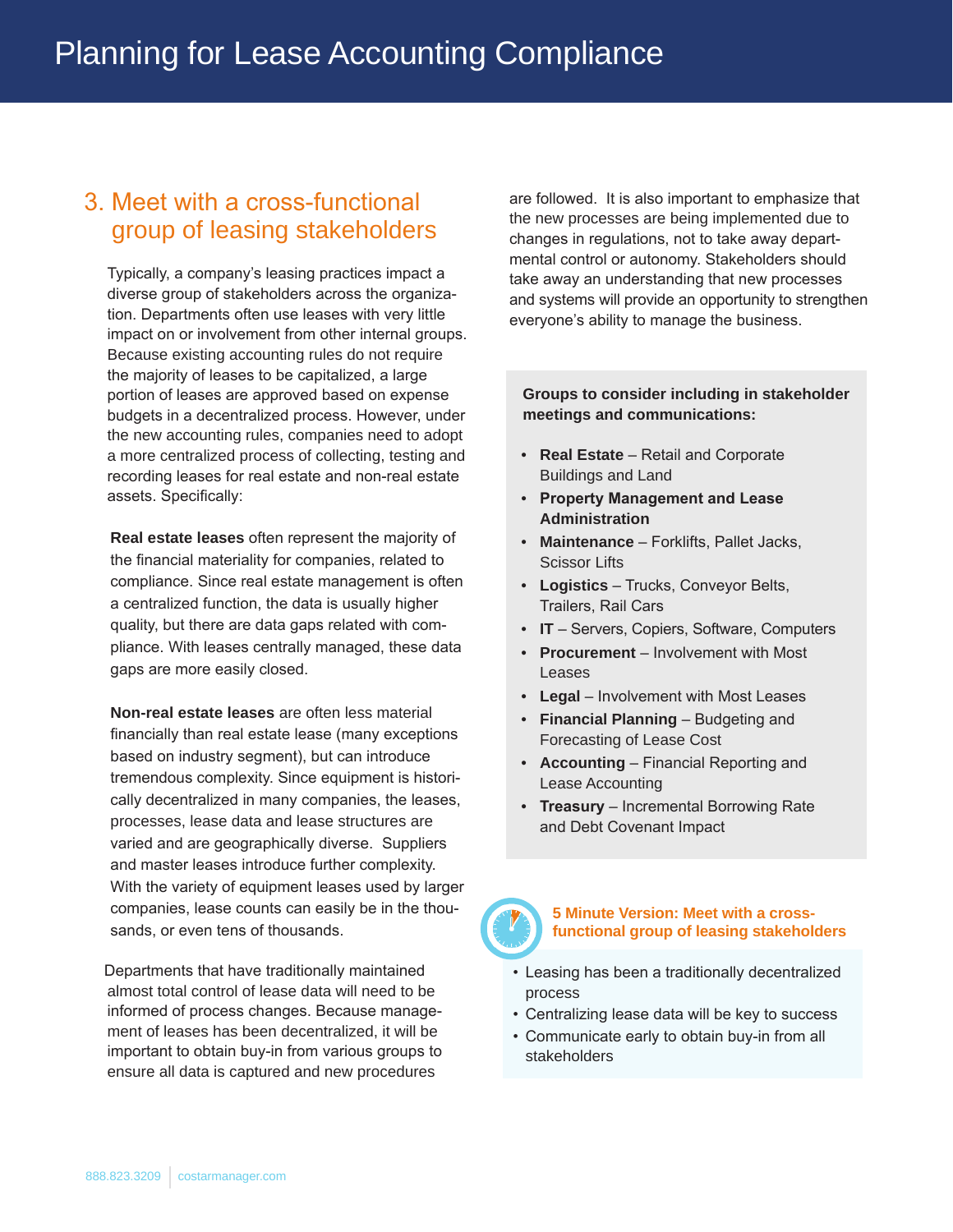### 3. Meet with a cross-functional group of leasing stakeholders

Typically, a company's leasing practices impact a diverse group of stakeholders across the organization. Departments often use leases with very little impact on or involvement from other internal groups. Because existing accounting rules do not require the majority of leases to be capitalized, a large portion of leases are approved based on expense budgets in a decentralized process. However, under the new accounting rules, companies need to adopt a more centralized process of collecting, testing and recording leases for real estate and non-real estate assets. Specifically:

**Real estate leases** often represent the majority of the financial materiality for companies, related to compliance. Since real estate management is often a centralized function, the data is usually higher quality, but there are data gaps related with compliance. With leases centrally managed, these data gaps are more easily closed.

**Non-real estate leases** are often less material financially than real estate lease (many exceptions based on industry segment), but can introduce tremendous complexity. Since equipment is historically decentralized in many companies, the leases, processes, lease data and lease structures are varied and are geographically diverse. Suppliers and master leases introduce further complexity. With the variety of equipment leases used by larger companies, lease counts can easily be in the thousands, or even tens of thousands.

Departments that have traditionally maintained almost total control of lease data will need to be informed of process changes. Because management of leases has been decentralized, it will be important to obtain buy-in from various groups to ensure all data is captured and new procedures

are followed. It is also important to emphasize that the new processes are being implemented due to changes in regulations, not to take away departmental control or autonomy. Stakeholders should take away an understanding that new processes and systems will provide an opportunity to strengthen everyone's ability to manage the business.

#### **Groups to consider including in stakeholder meetings and communications:**

- **Real Estate** Retail and Corporate Buildings and Land
- **Property Management and Lease Administration**
- **Maintenance** Forklifts, Pallet Jacks, Scissor Lifts
- **Logistics** Trucks, Conveyor Belts, Trailers, Rail Cars
- **IT** Servers, Copiers, Software, Computers
- **Procurement** Involvement with Most Leases
- **Legal** Involvement with Most Leases
- **Financial Planning** Budgeting and Forecasting of Lease Cost
- **Accounting** Financial Reporting and Lease Accounting
- **Treasury** Incremental Borrowing Rate and Debt Covenant Impact



**5 Minute Version: Meet with a crossfunctional group of leasing stakeholders** 

- Leasing has been a traditionally decentralized process
- Centralizing lease data will be key to success
- Communicate early to obtain buy-in from all stakeholders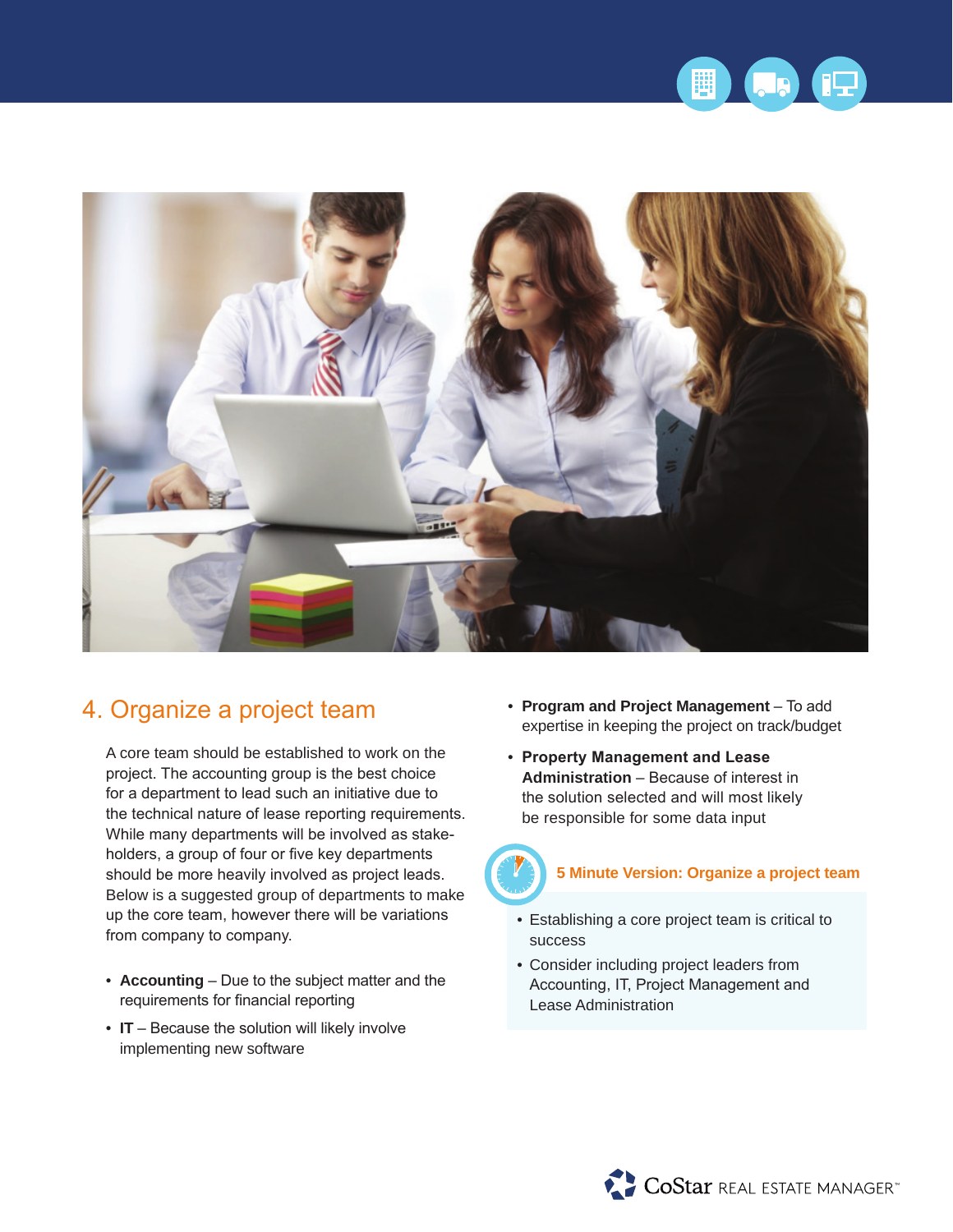



### 4. Organize a project team

A core team should be established to work on the project. The accounting group is the best choice for a department to lead such an initiative due to the technical nature of lease reporting requirements. While many departments will be involved as stakeholders, a group of four or five key departments should be more heavily involved as project leads. Below is a suggested group of departments to make up the core team, however there will be variations from company to company.

- **Accounting** Due to the subject matter and the requirements for financial reporting
- **IT** Because the solution will likely involve implementing new software
- **Program and Project Management** To add expertise in keeping the project on track/budget
- **Property Management and Lease Administration** – Because of interest in the solution selected and will most likely be responsible for some data input



#### **5 Minute Version: Organize a project team**

- Establishing a core project team is critical to success
- Consider including project leaders from Accounting, IT, Project Management and Lease Administration

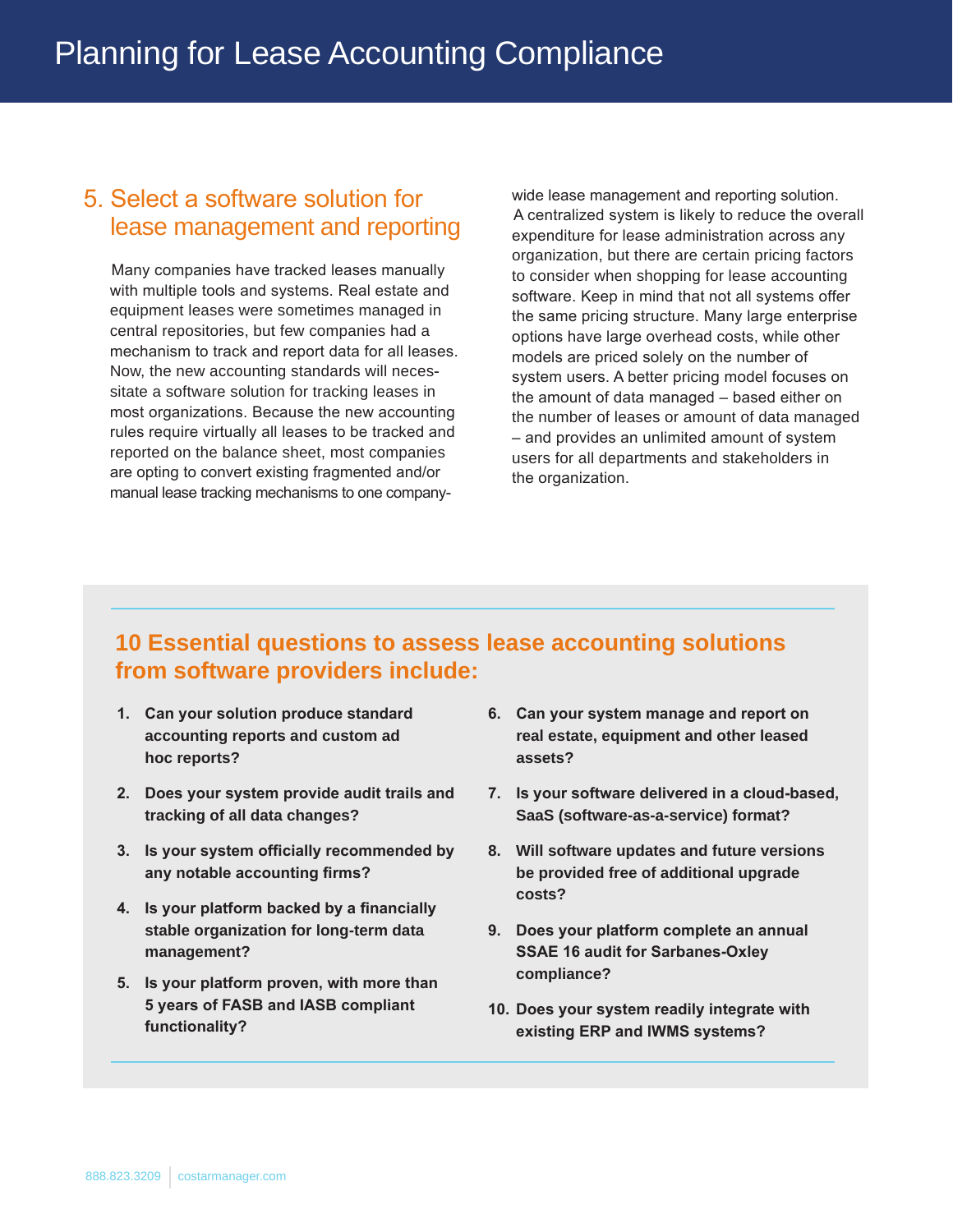### 5. Select a software solution for lease management and reporting

Many companies have tracked leases manually with multiple tools and systems. Real estate and equipment leases were sometimes managed in central repositories, but few companies had a mechanism to track and report data for all leases. Now, the new accounting standards will necessitate a software solution for tracking leases in most organizations. Because the new accounting rules require virtually all leases to be tracked and reported on the balance sheet, most companies are opting to convert existing fragmented and/or manual lease tracking mechanisms to one companywide lease management and reporting solution. A centralized system is likely to reduce the overall expenditure for lease administration across any organization, but there are certain pricing factors to consider when shopping for lease accounting software. Keep in mind that not all systems offer the same pricing structure. Many large enterprise options have large overhead costs, while other models are priced solely on the number of system users. A better pricing model focuses on the amount of data managed – based either on the number of leases or amount of data managed – and provides an unlimited amount of system users for all departments and stakeholders in the organization.

#### **10 Essential questions to assess lease accounting solutions from software providers include:**

- **1. Can your solution produce standard accounting reports and custom ad hoc reports?**
- **2. Does your system provide audit trails and tracking of all data changes?**
- **3. Is your system officially recommended by any notable accounting firms?**
- **4. Is your platform backed by a financially stable organization for long-term data management?**
- **5. Is your platform proven, with more than 5 years of FASB and IASB compliant functionality?**
- **6. Can your system manage and report on real estate, equipment and other leased assets?**
- **7. Is your software delivered in a cloud-based, SaaS (software-as-a-service) format?**
- **8. Will software updates and future versions be provided free of additional upgrade costs?**
- **9. Does your platform complete an annual SSAE 16 audit for Sarbanes-Oxley compliance?**
- **10. Does your system readily integrate with existing ERP and IWMS systems?**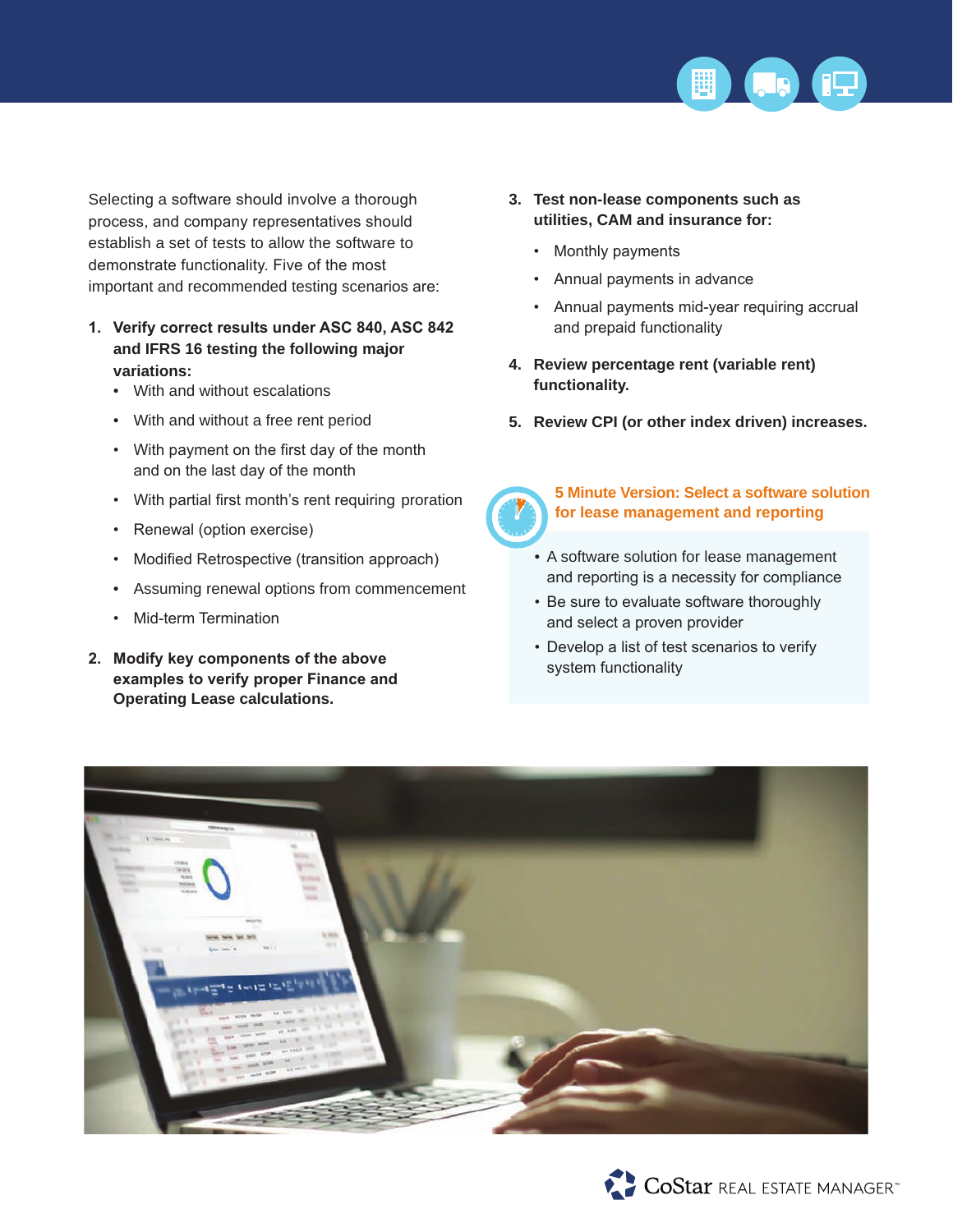

Selecting a software should involve a thorough process, and company representatives should establish a set of tests to allow the software to demonstrate functionality. Five of the most important and recommended testing scenarios are:

- **1. Verify correct results under ASC 840, ASC 842 and IFRS 16 testing the following major variations:** 
	- With and without escalations
	- With and without a free rent period
	- With payment on the first day of the month and on the last day of the month
	- With partial first month's rent requiring proration
	- Renewal (option exercise)
	- Modified Retrospective (transition approach)
	- Assuming renewal options from commencement
	- Mid-term Termination
- **2. Modify key components of the above examples to verify proper Finance and Operating Lease calculations.**
- **3. Test non-lease components such as utilities, CAM and insurance for:** 
	- Monthly payments
	- Annual payments in advance
	- Annual payments mid-year requiring accrual and prepaid functionality
- **4. Review percentage rent (variable rent) functionality.**
- **5. Review CPI (or other index driven) increases.**



#### **5 Minute Version: Select a software solution for lease management and reporting**

- A software solution for lease management and reporting is a necessity for compliance
- Be sure to evaluate software thoroughly and select a proven provider
- Develop a list of test scenarios to verify system functionality



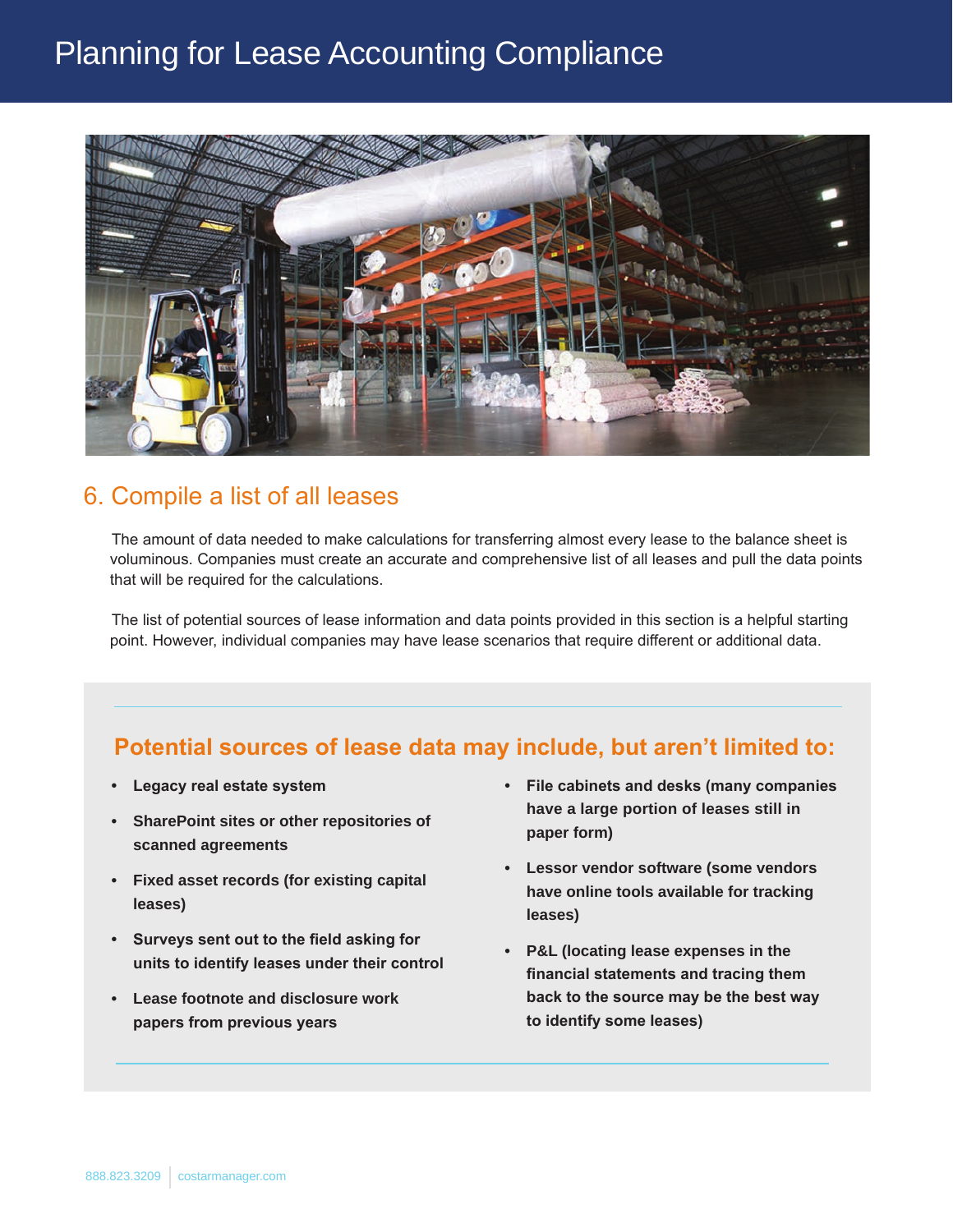## Planning for Lease Accounting Compliance



#### 6. Compile a list of all leases

The amount of data needed to make calculations for transferring almost every lease to the balance sheet is voluminous. Companies must create an accurate and comprehensive list of all leases and pull the data points that will be required for the calculations.

The list of potential sources of lease information and data points provided in this section is a helpful starting point. However, individual companies may have lease scenarios that require different or additional data.

#### **Potential sources of lease data may include, but aren't limited to:**

- **• Legacy real estate system**
- **• SharePoint sites or other repositories of scanned agreements**
- **• Fixed asset records (for existing capital leases)**
- **• Surveys sent out to the field asking for units to identify leases under their control**
- **• Lease footnote and disclosure work papers from previous years**
- **• File cabinets and desks (many companies have a large portion of leases still in paper form)**
- **• Lessor vendor software (some vendors have online tools available for tracking leases)**
- **• P&L (locating lease expenses in the financial statements and tracing them back to the source may be the best way to identify some leases)**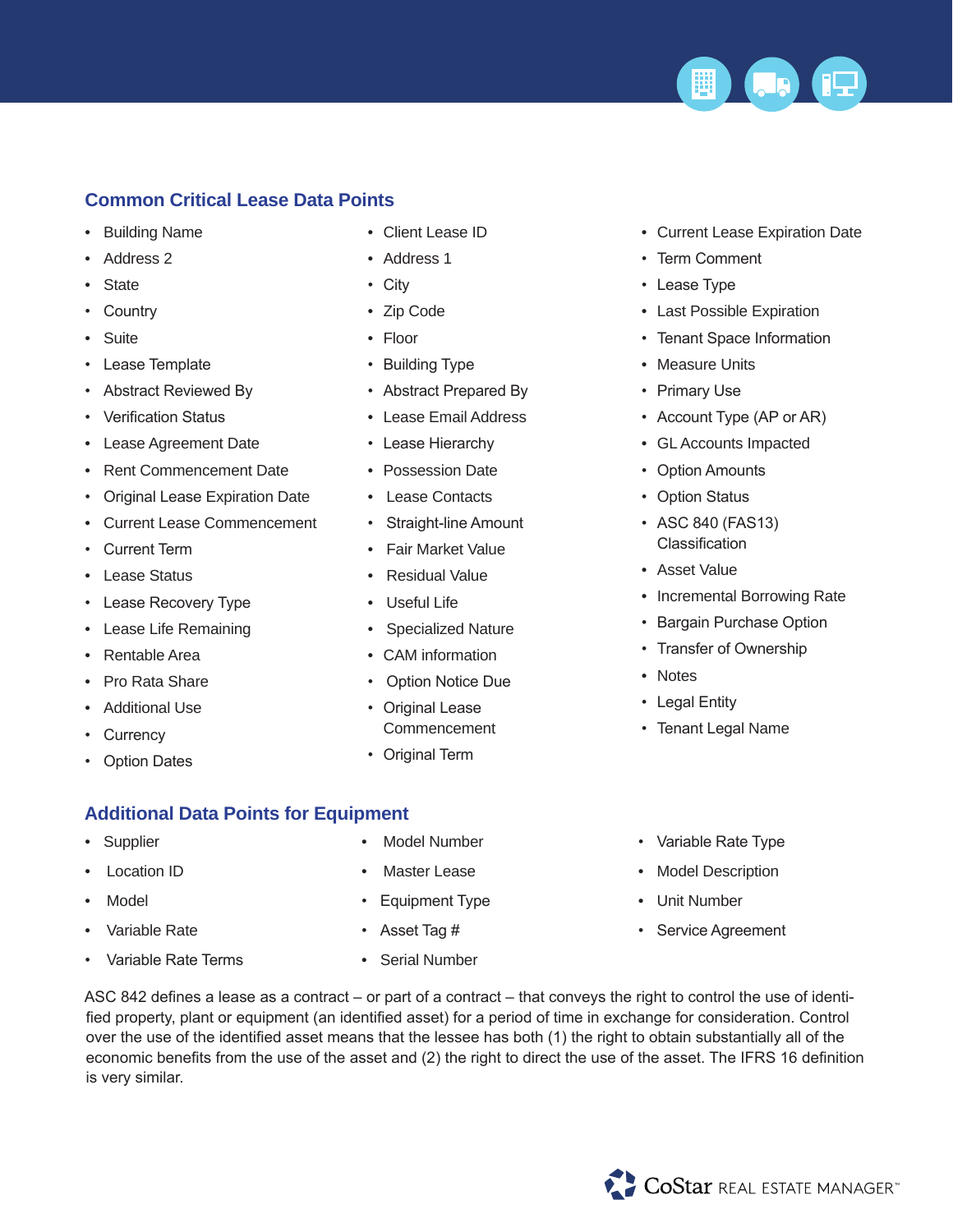

#### **Common Critical Lease Data Points**

- Building Name
- Address 2
- **State**
- **Country**
- Suite
- Lease Template
- Abstract Reviewed By
- Verification Status
- Lease Agreement Date
- Rent Commencement Date
- Original Lease Expiration Date
- Current Lease Commencement
- Current Term
- Lease Status
- Lease Recovery Type
- Lease Life Remaining
- Rentable Area
- Pro Rata Share
- Additional Use
- **Currency**
- **Option Dates**
- Client Lease ID
- Address 1
- City
- Zip Code
- Floor
- Building Type
- Abstract Prepared By
- Lease Email Address
- Lease Hierarchy
- Possession Date
- Lease Contacts
- Straight-line Amount
- Fair Market Value
- Residual Value
- Useful Life
- Specialized Nature
- CAM information
- Option Notice Due
- Original Lease Commencement
- Original Term
- Current Lease Expiration Date
- Term Comment
- Lease Type
- Last Possible Expiration
- Tenant Space Information
- Measure Units
- Primary Use
- Account Type (AP or AR)
- GL Accounts Impacted
- Option Amounts
- Option Status
- ASC 840 (FAS13) Classification
- Asset Value
- Incremental Borrowing Rate
- Bargain Purchase Option
- Transfer of Ownership
- Notes
- Legal Entity
- Tenant Legal Name

- **Additional Data Points for Equipment**
- **Supplier**
- **Location ID**
- Model
- Variable Rate
- Variable Rate Terms
- Model Number
- **Master Lease**
- Equipment Type
- Asset Tag #
- Serial Number
- Variable Rate Type
- Model Description
- Unit Number
- Service Agreement

ASC 842 defines a lease as a contract – or part of a contract – that conveys the right to control the use of identified property, plant or equipment (an identified asset) for a period of time in exchange for consideration. Control over the use of the identified asset means that the lessee has both (1) the right to obtain substantially all of the economic benefits from the use of the asset and (2) the right to direct the use of the asset. The IFRS 16 definition is very similar.



- -
- 
-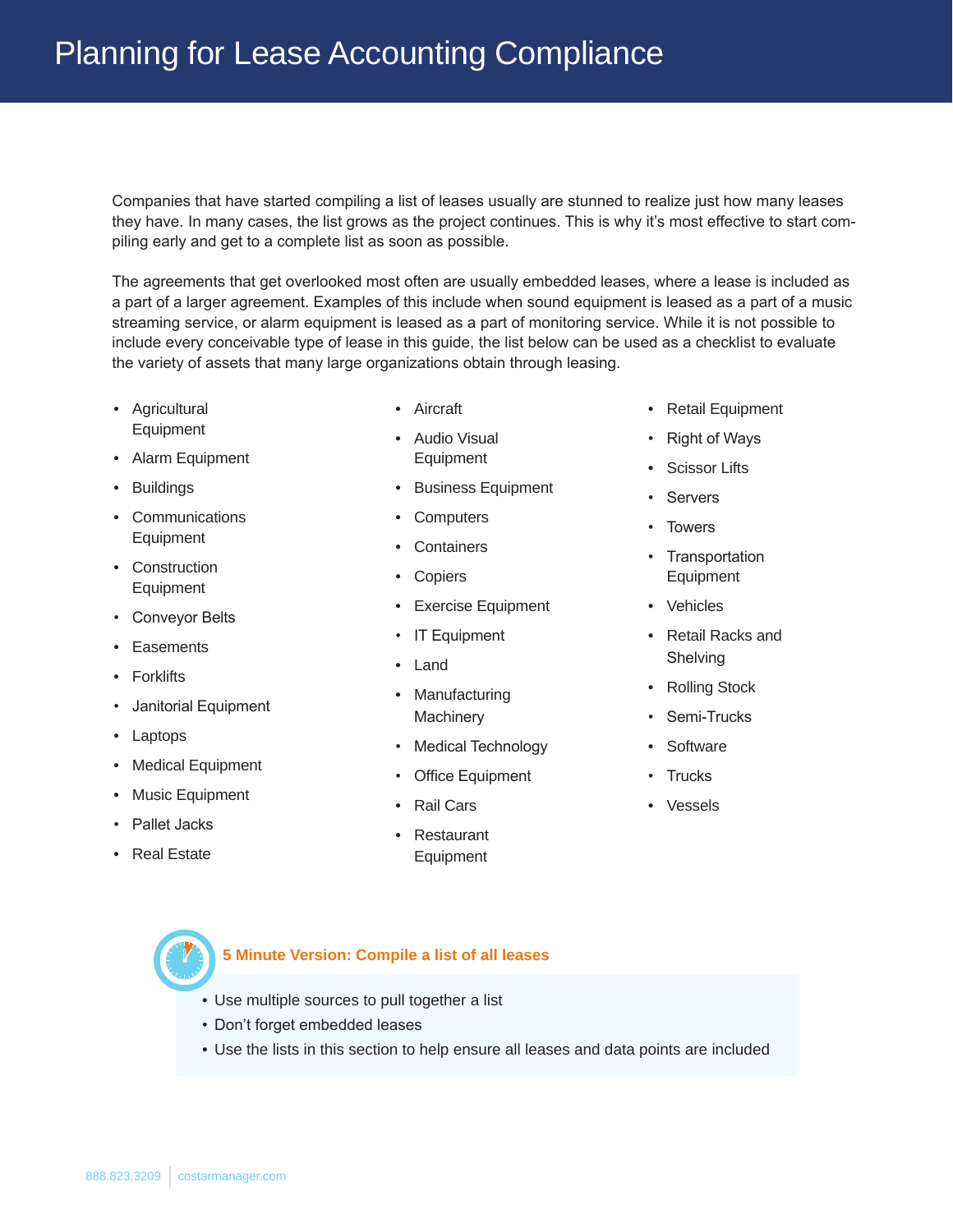Companies that have started compiling a list of leases usually are stunned to realize just how many leases they have. In many cases, the list grows as the project continues. This is why it's most effective to start compiling early and get to a complete list as soon as possible.

The agreements that get overlooked most often are usually embedded leases, where a lease is included as a part of a larger agreement. Examples of this include when sound equipment is leased as a part of a music streaming service, or alarm equipment is leased as a part of monitoring service. While it is not possible to include every conceivable type of lease in this guide, the list below can be used as a checklist to evaluate the variety of assets that many large organizations obtain through leasing.

- Agricultural Equipment
- Alarm Equipment
- Buildings
- Communications **Equipment**
- Construction **Equipment**
- Conveyor Belts
- **Easements**
- **Forklifts**
- Janitorial Equipment
- **Laptops**
- **Medical Equipment**
- Music Equipment
- Pallet Jacks
- Real Estate
- **Aircraft**
- Audio Visual Equipment
- Business Equipment
- Computers
- Containers
- **Copiers**
- **Exercise Equipment**
- IT Equipment
- **Land**
- **Manufacturing Machinery**
- Medical Technology
- **Office Equipment**
- Rail Cars
- **Restaurant Equipment**
- Retail Equipment
- Right of Ways
- Scissor Lifts
- **Servers**
- **Towers**
- Transportation Equipment
- Vehicles
- Retail Racks and Shelving
- Rolling Stock
- Semi-Trucks
- **Software**
- **Trucks**
- **Vessels**

#### 888.823.3209 costarmanager.com

- Use multiple sources to pull together a list • Don't forget embedded leases
- Use the lists in this section to help ensure all leases and data points are included
- **5 Minute Version: Compile a list of all leases**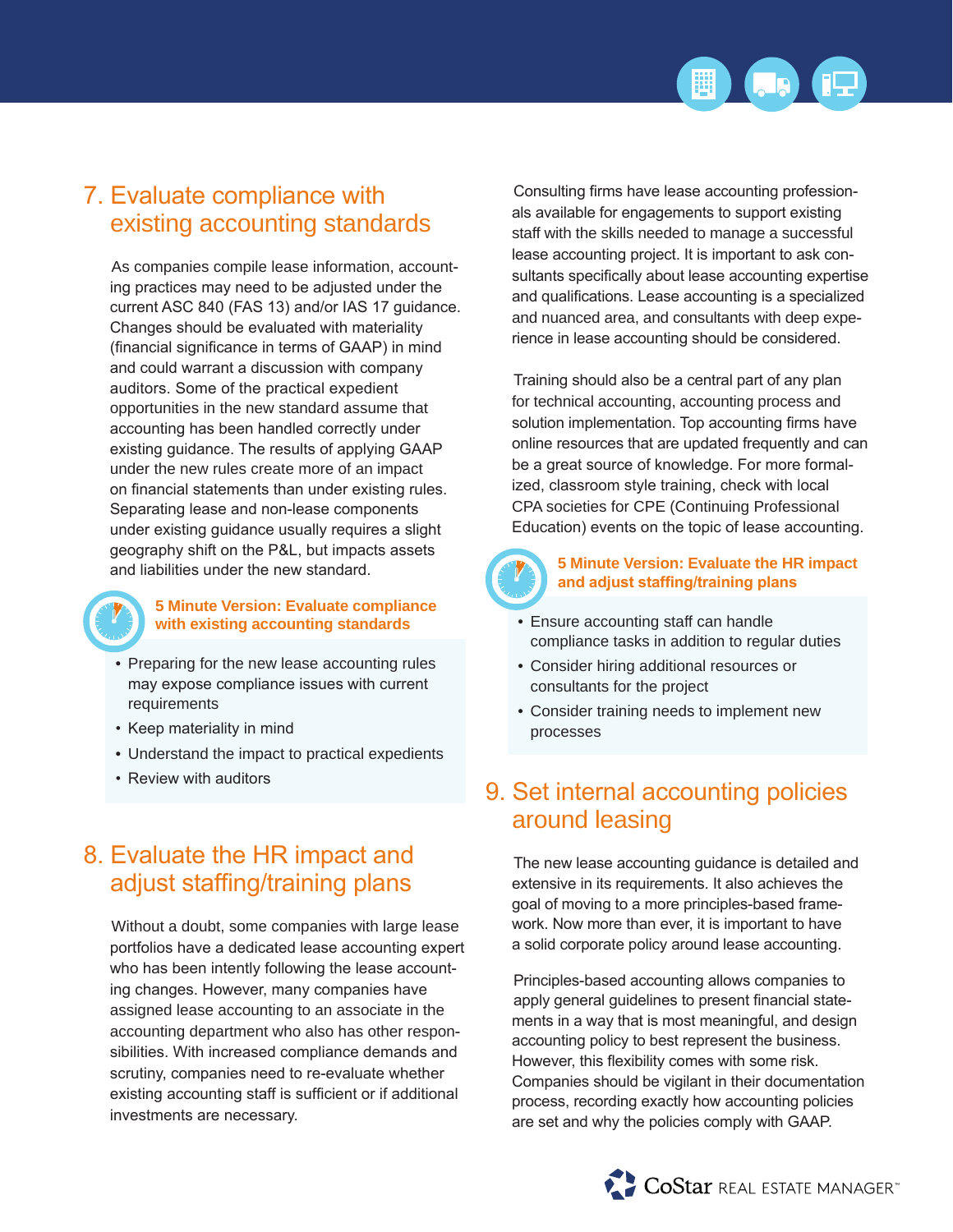

### 7. Evaluate compliance with existing accounting standards

As companies compile lease information, accounting practices may need to be adjusted under the current ASC 840 (FAS 13) and/or IAS 17 guidance. Changes should be evaluated with materiality (financial significance in terms of GAAP) in mind and could warrant a discussion with company auditors. Some of the practical expedient opportunities in the new standard assume that accounting has been handled correctly under existing guidance. The results of applying GAAP under the new rules create more of an impact on financial statements than under existing rules. Separating lease and non-lease components under existing guidance usually requires a slight geography shift on the P&L, but impacts assets and liabilities under the new standard.



#### **5 Minute Version: Evaluate compliance with existing accounting standards**

- Preparing for the new lease accounting rules may expose compliance issues with current requirements
- Keep materiality in mind
- Understand the impact to practical expedients
- Review with auditors

### 8. Evaluate the HR impact and adjust staffing/training plans

Without a doubt, some companies with large lease portfolios have a dedicated lease accounting expert who has been intently following the lease accounting changes. However, many companies have assigned lease accounting to an associate in the accounting department who also has other responsibilities. With increased compliance demands and scrutiny, companies need to re-evaluate whether existing accounting staff is sufficient or if additional investments are necessary.

Consulting firms have lease accounting professionals available for engagements to support existing staff with the skills needed to manage a successful lease accounting project. It is important to ask consultants specifically about lease accounting expertise and qualifications. Lease accounting is a specialized and nuanced area, and consultants with deep experience in lease accounting should be considered.

Training should also be a central part of any plan for technical accounting, accounting process and solution implementation. Top accounting firms have online resources that are updated frequently and can be a great source of knowledge. For more formalized, classroom style training, check with local CPA societies for CPE (Continuing Professional Education) events on the topic of lease accounting.



#### **5 Minute Version: Evaluate the HR impact and adjust staffing/training plans**

- Ensure accounting staff can handle compliance tasks in addition to regular duties
- Consider hiring additional resources or consultants for the project
- Consider training needs to implement new processes

### 9. Set internal accounting policies around leasing

The new lease accounting guidance is detailed and extensive in its requirements. It also achieves the goal of moving to a more principles-based framework. Now more than ever, it is important to have a solid corporate policy around lease accounting.

Principles-based accounting allows companies to apply general guidelines to present financial statements in a way that is most meaningful, and design accounting policy to best represent the business. However, this flexibility comes with some risk. Companies should be vigilant in their documentation process, recording exactly how accounting policies are set and why the policies comply with GAAP.

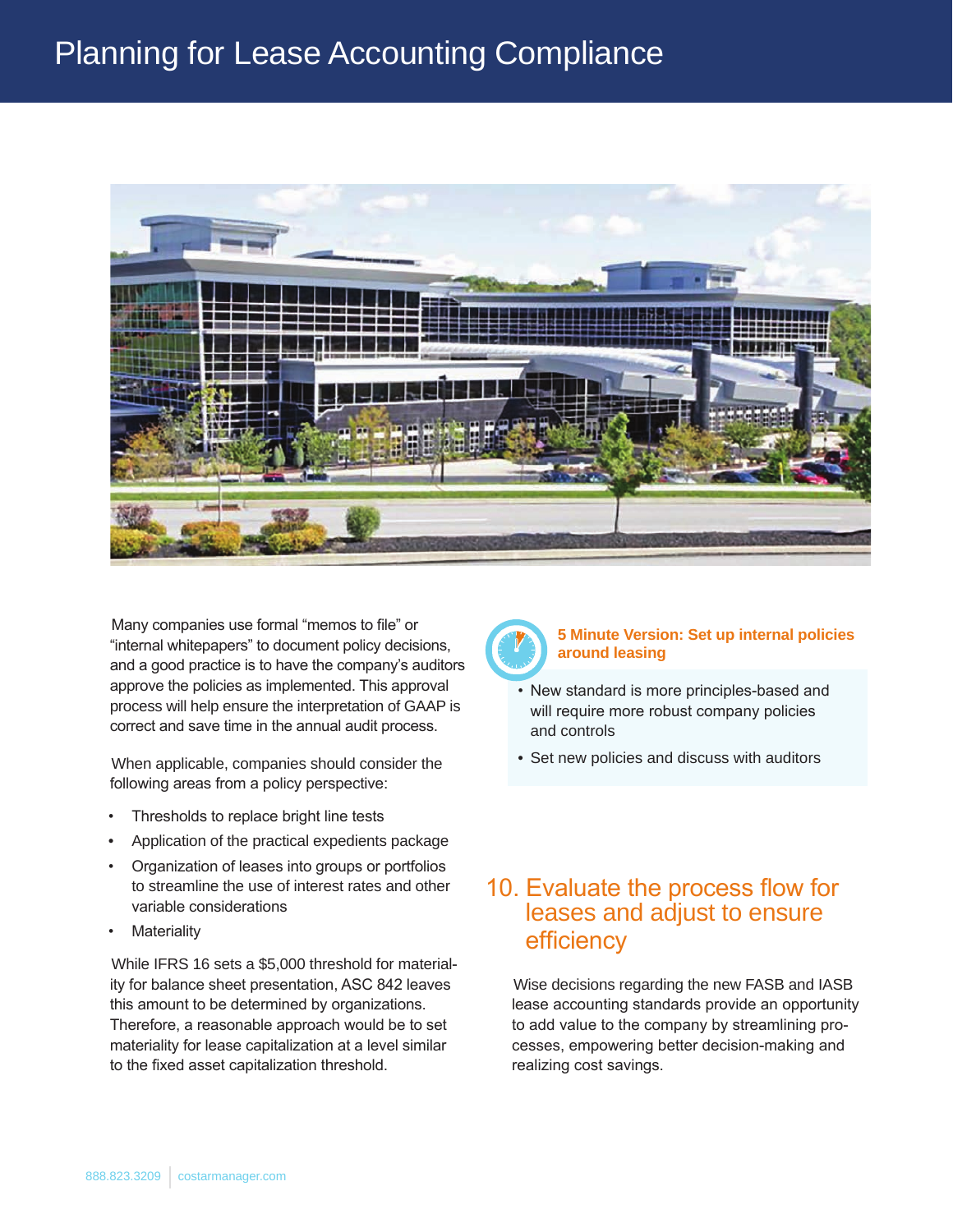## Planning for Lease Accounting Compliance



Many companies use formal "memos to file" or "internal whitepapers" to document policy decisions, and a good practice is to have the company's auditors approve the policies as implemented. This approval process will help ensure the interpretation of GAAP is correct and save time in the annual audit process.

When applicable, companies should consider the following areas from a policy perspective:

- Thresholds to replace bright line tests
- Application of the practical expedients package
- Organization of leases into groups or portfolios to streamline the use of interest rates and other variable considerations
- **Materiality**

While IFRS 16 sets a \$5,000 threshold for materiality for balance sheet presentation, ASC 842 leaves this amount to be determined by organizations. Therefore, a reasonable approach would be to set materiality for lease capitalization at a level similar to the fixed asset capitalization threshold.



#### **5 Minute Version: Set up internal policies around leasing**

- New standard is more principles-based and will require more robust company policies and controls
- Set new policies and discuss with auditors

### 10. Evaluate the process flow for leases and adjust to ensure efficiency

Wise decisions regarding the new FASB and IASB lease accounting standards provide an opportunity to add value to the company by streamlining processes, empowering better decision-making and realizing cost savings.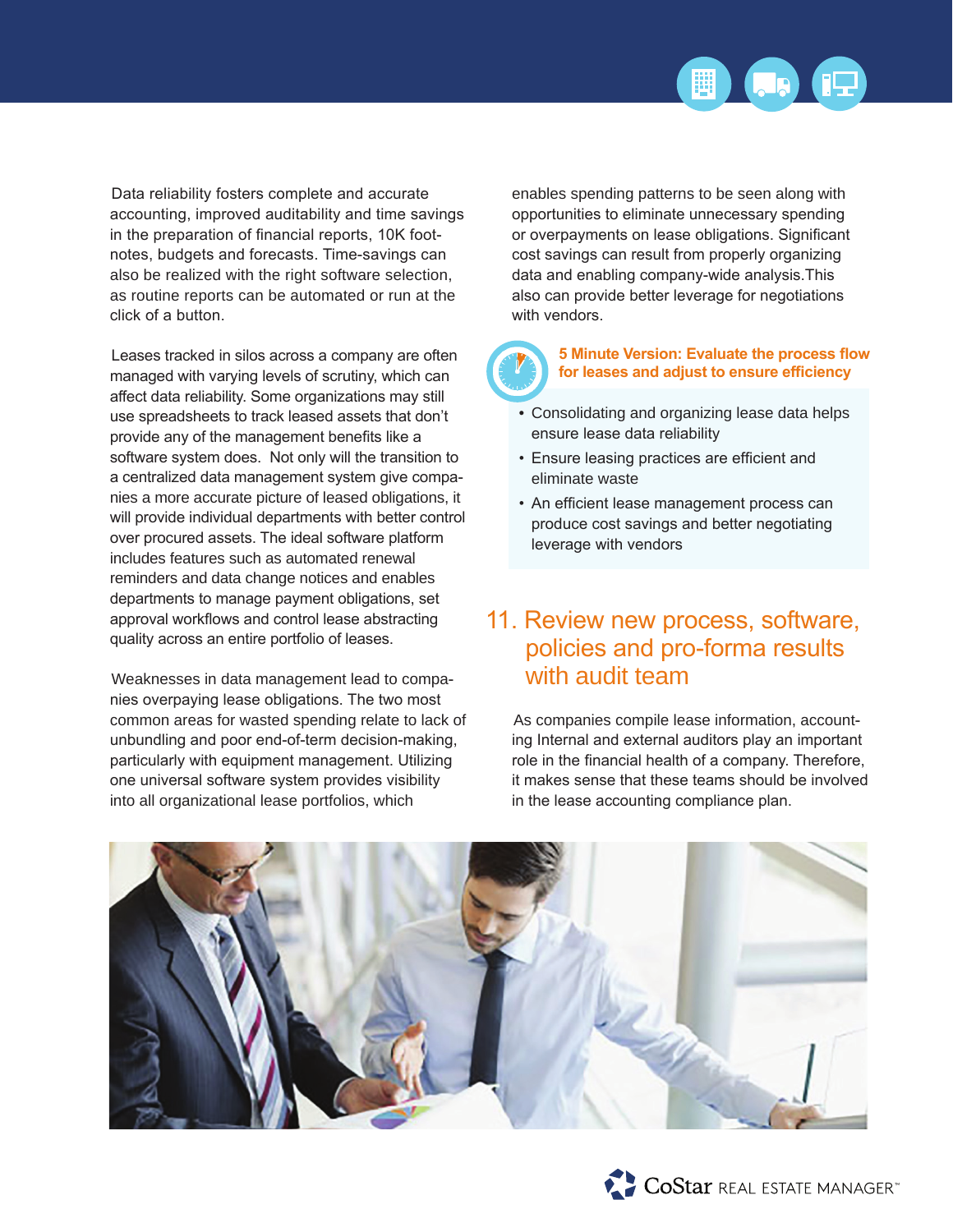

Data reliability fosters complete and accurate accounting, improved auditability and time savings in the preparation of financial reports, 10K footnotes, budgets and forecasts. Time-savings can also be realized with the right software selection, as routine reports can be automated or run at the click of a button.

Leases tracked in silos across a company are often managed with varying levels of scrutiny, which can affect data reliability. Some organizations may still use spreadsheets to track leased assets that don't provide any of the management benefits like a software system does. Not only will the transition to a centralized data management system give companies a more accurate picture of leased obligations, it will provide individual departments with better control over procured assets. The ideal software platform includes features such as automated renewal reminders and data change notices and enables departments to manage payment obligations, set approval workflows and control lease abstracting quality across an entire portfolio of leases.

Weaknesses in data management lead to companies overpaying lease obligations. The two most common areas for wasted spending relate to lack of unbundling and poor end-of-term decision-making, particularly with equipment management. Utilizing one universal software system provides visibility into all organizational lease portfolios, which

enables spending patterns to be seen along with opportunities to eliminate unnecessary spending or overpayments on lease obligations. Significant cost savings can result from properly organizing data and enabling company-wide analysis.This also can provide better leverage for negotiations with vendors.

#### **5 Minute Version: Evaluate the process flow for leases and adjust to ensure efficiency**

- Consolidating and organizing lease data helps ensure lease data reliability
- Ensure leasing practices are efficient and eliminate waste
- An efficient lease management process can produce cost savings and better negotiating leverage with vendors

### 11. Review new process, software, policies and pro-forma results with audit team

As companies compile lease information, accounting Internal and external auditors play an important role in the financial health of a company. Therefore, it makes sense that these teams should be involved in the lease accounting compliance plan.



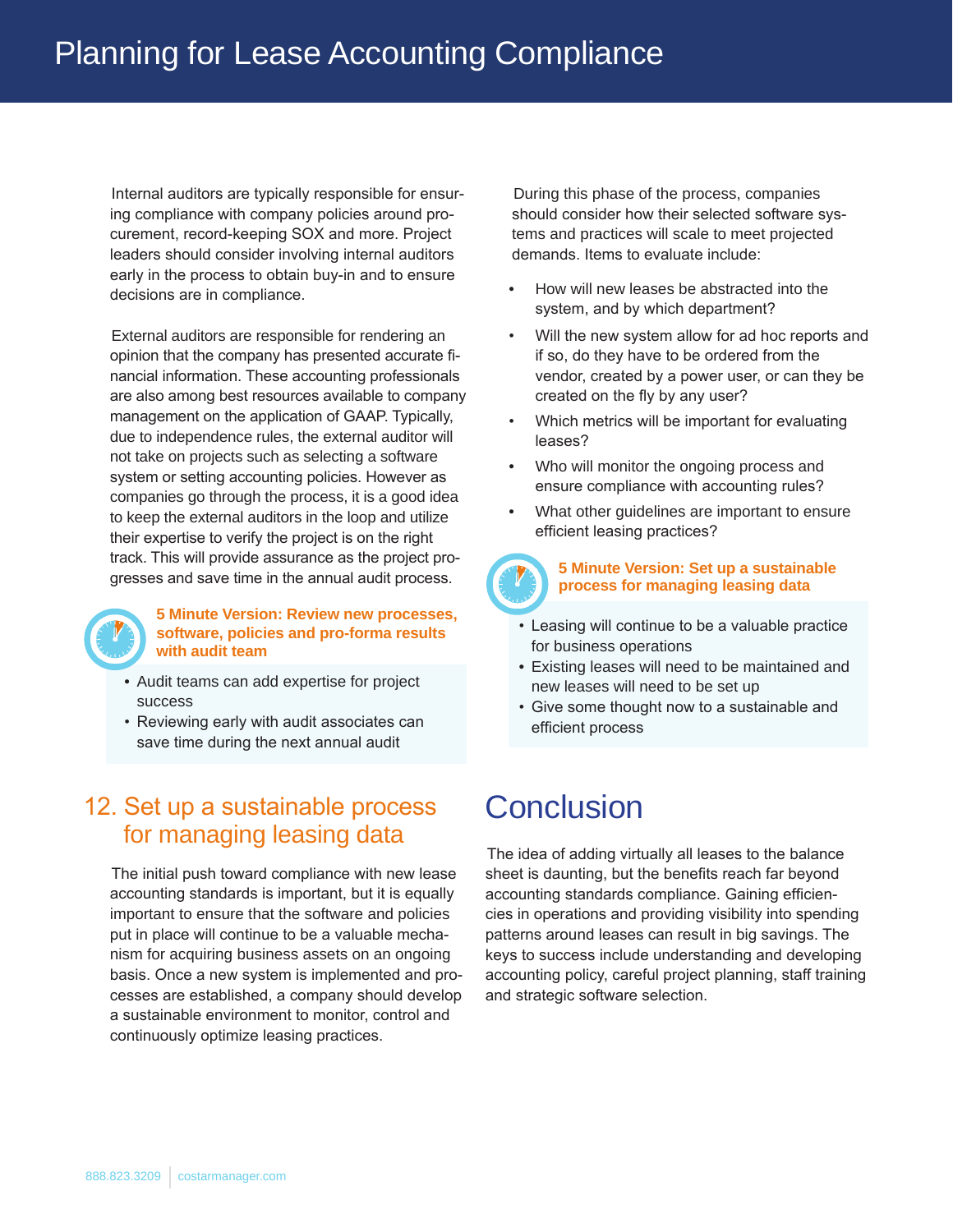Internal auditors are typically responsible for ensuring compliance with company policies around procurement, record-keeping SOX and more. Project leaders should consider involving internal auditors early in the process to obtain buy-in and to ensure decisions are in compliance.

External auditors are responsible for rendering an opinion that the company has presented accurate financial information. These accounting professionals are also among best resources available to company management on the application of GAAP. Typically, due to independence rules, the external auditor will not take on projects such as selecting a software system or setting accounting policies. However as companies go through the process, it is a good idea to keep the external auditors in the loop and utilize their expertise to verify the project is on the right track. This will provide assurance as the project progresses and save time in the annual audit process.



#### **5 Minute Version: Review new processes, software, policies and pro-forma results with audit team**

- Audit teams can add expertise for project success
- Reviewing early with audit associates can save time during the next annual audit

### 12. Set up a sustainable process for managing leasing data

The initial push toward compliance with new lease accounting standards is important, but it is equally important to ensure that the software and policies put in place will continue to be a valuable mechanism for acquiring business assets on an ongoing basis. Once a new system is implemented and processes are established, a company should develop a sustainable environment to monitor, control and continuously optimize leasing practices.

During this phase of the process, companies should consider how their selected software systems and practices will scale to meet projected demands. Items to evaluate include:

- How will new leases be abstracted into the system, and by which department?
- Will the new system allow for ad hoc reports and if so, do they have to be ordered from the vendor, created by a power user, or can they be created on the fly by any user?
- Which metrics will be important for evaluating leases?
- Who will monitor the ongoing process and ensure compliance with accounting rules?
- What other guidelines are important to ensure efficient leasing practices?



#### **5 Minute Version: Set up a sustainable process for managing leasing data**

- Leasing will continue to be a valuable practice for business operations
- Existing leases will need to be maintained and new leases will need to be set up
- Give some thought now to a sustainable and efficient process

## **Conclusion**

The idea of adding virtually all leases to the balance sheet is daunting, but the benefits reach far beyond accounting standards compliance. Gaining efficiencies in operations and providing visibility into spending patterns around leases can result in big savings. The keys to success include understanding and developing accounting policy, careful project planning, staff training and strategic software selection.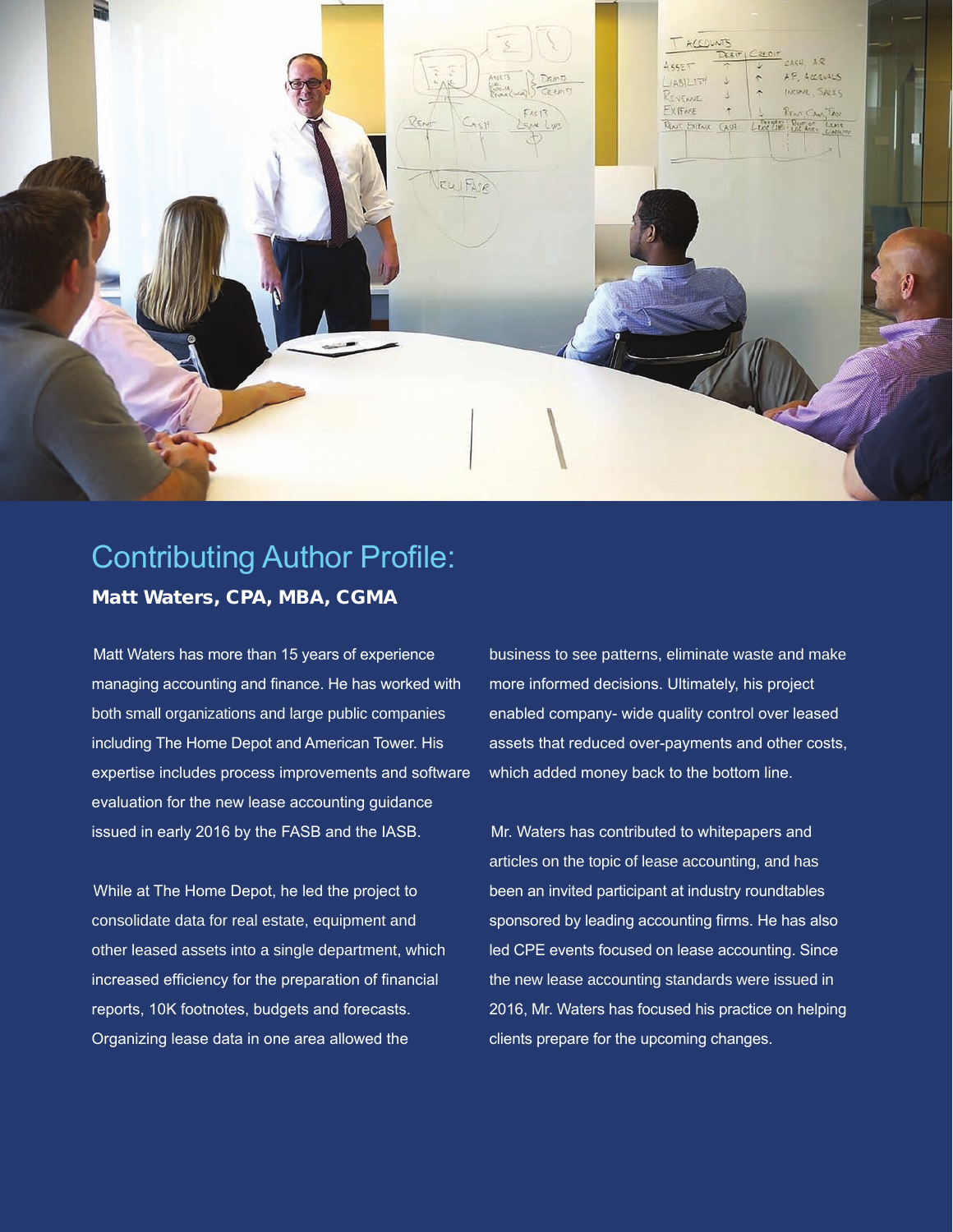

### Contributing Author Profile: Matt Waters, CPA, MBA, CGMA

Matt Waters has more than 15 years of experience managing accounting and finance. He has worked with both small organizations and large public companies including The Home Depot and American Tower. His expertise includes process improvements and software evaluation for the new lease accounting guidance issued in early 2016 by the FASB and the IASB.

While at The Home Depot, he led the project to consolidate data for real estate, equipment and other leased assets into a single department, which increased efficiency for the preparation of financial reports, 10K footnotes, budgets and forecasts. Organizing lease data in one area allowed the

business to see patterns, eliminate waste and make more informed decisions. Ultimately, his project enabled company- wide quality control over leased assets that reduced over-payments and other costs, which added money back to the bottom line.

Mr. Waters has contributed to whitepapers and articles on the topic of lease accounting, and has been an invited participant at industry roundtables sponsored by leading accounting firms. He has also led CPE events focused on lease accounting. Since the new lease accounting standards were issued in 2016, Mr. Waters has focused his practice on helping clients prepare for the upcoming changes.